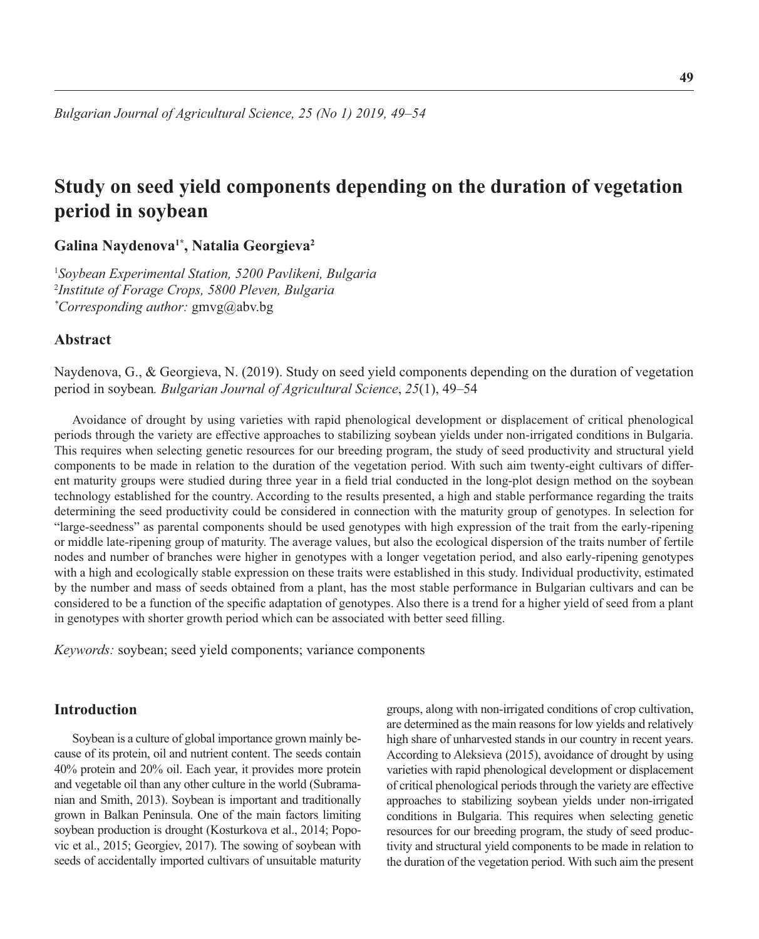# **Study on seed yield components depending on the duration of vegetation period in soybean**

**Galina Naydenova1\*, Natalia Georgieva2**

1 *Soybean Experimental Station, 5200 Pavlikeni, Bulgaria* 2 *Institute of Forage Crops, 5800 Pleven, Bulgaria \* Corresponding author:* gmvg@abv.bg

### **Abstract**

Naydenova, G., & Georgieva, N. (2019). Study on seed yield components depending on the duration of vegetation period in soybean*. Bulgarian Journal of Agricultural Science*, *25*(1), 49–54

Avoidance of drought by using varieties with rapid phenological development or displacement of critical phenological periods through the variety are effective approaches to stabilizing soybean yields under non-irrigated conditions in Bulgaria. This requires when selecting genetic resources for our breeding program, the study of seed productivity and structural yield components to be made in relation to the duration of the vegetation period. With such aim twenty-eight cultivars of different maturity groups were studied during three year in a field trial conducted in the long-plot design method on the soybean technology established for the country. According to the results presented, a high and stable performance regarding the traits determining the seed productivity could be considered in connection with the maturity group of genotypes. In selection for "large-seedness" as parental components should be used genotypes with high expression of the trait from the early-ripening or middle late-ripening group of maturity. The average values, but also the ecological dispersion of the traits number of fertile nodes and number of branches were higher in genotypes with a longer vegetation period, and also early-ripening genotypes with a high and ecologically stable expression on these traits were established in this study. Individual productivity, estimated by the number and mass of seeds obtained from a plant, has the most stable performance in Bulgarian cultivars and can be considered to be a function of the specifi c adaptation of genotypes. Also there is a trend for a higher yield of seed from a plant in genotypes with shorter growth period which can be associated with better seed filling.

*Keywords:* soybean; seed yield components; variance components

### **Introduction**

Soybean is a culture of global importance grown mainly because of its protein, oil and nutrient content. The seeds contain 40% protein and 20% oil. Each year, it provides more protein and vegetable oil than any other culture in the world (Subramanian and Smith, 2013). Soybean is important and traditionally grown in Balkan Peninsula. One of the main factors limiting soybean production is drought (Kosturkova et al., 2014; Popovic et al., 2015; Georgiev, 2017). The sowing of soybean with seeds of accidentally imported cultivars of unsuitable maturity

groups, along with non-irrigated conditions of crop cultivation, are determined as the main reasons for low yields and relatively high share of unharvested stands in our country in recent years. According to Aleksieva (2015), avoidance of drought by using varieties with rapid phenological development or displacement of critical phenological periods through the variety are effective approaches to stabilizing soybean yields under non-irrigated conditions in Bulgaria. This requires when selecting genetic resources for our breeding program, the study of seed productivity and structural yield components to be made in relation to the duration of the vegetation period. With such aim the present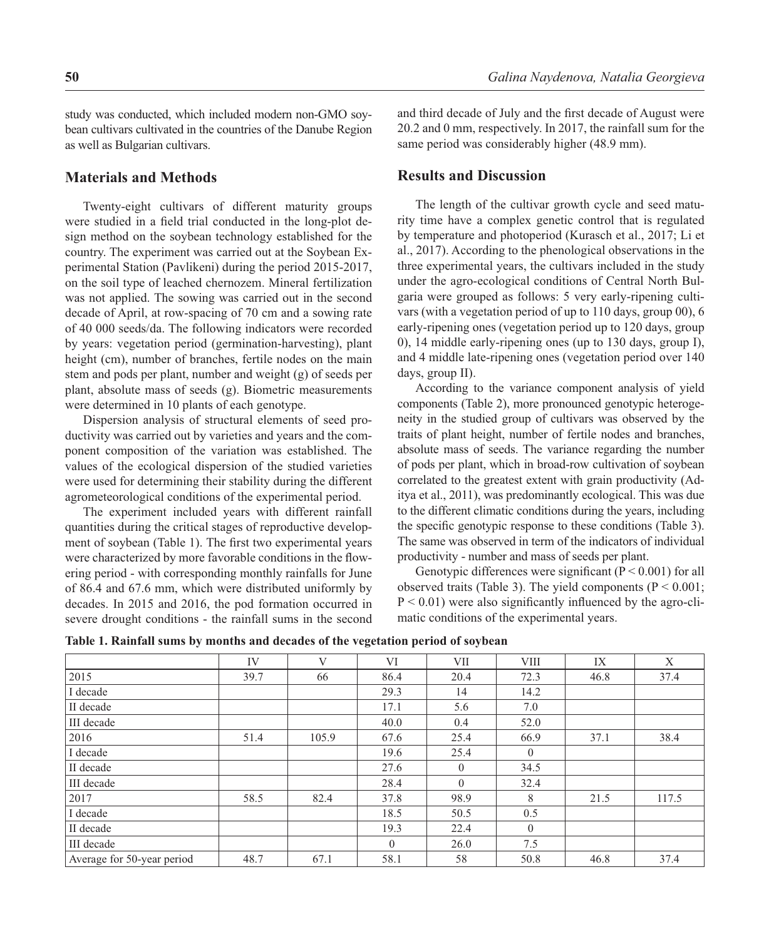study was conducted, which included modern non-GMO soybean cultivars cultivated in the countries of the Danube Region as well as Bulgarian cultivars.

#### **Materials and Methods**

Twenty-eight cultivars of different maturity groups were studied in a field trial conducted in the long-plot design method on the soybean technology established for the country. The experiment was carried out at the Soybean Experimental Station (Pavlikeni) during the period 2015-2017, on the soil type of leached chernozem. Mineral fertilization was not applied. The sowing was carried out in the second decade of April, at row-spacing of 70 cm and a sowing rate of 40 000 seeds/da. The following indicators were recorded by years: vegetation period (germination-harvesting), plant height (cm), number of branches, fertile nodes on the main stem and pods per plant, number and weight (g) of seeds per plant, absolute mass of seeds (g). Biometric measurements were determined in 10 plants of each genotype.

Dispersion analysis of structural elements of seed productivity was carried out by varieties and years and the component composition of the variation was established. The values of the ecological dispersion of the studied varieties were used for determining their stability during the different agrometeorological conditions of the experimental period.

The experiment included years with different rainfall quantities during the critical stages of reproductive development of soybean (Table 1). The first two experimental years were characterized by more favorable conditions in the flowering period - with corresponding monthly rainfalls for June of 86.4 and 67.6 mm, which were distributed uniformly by decades. In 2015 and 2016, the pod formation occurred in severe drought conditions - the rainfall sums in the second and third decade of July and the first decade of August were 20.2 and 0 mm, respectively. In 2017, the rainfall sum for the same period was considerably higher (48.9 mm).

#### **Results and Discussion**

The length of the cultivar growth cycle and seed maturity time have a complex genetic control that is regulated by temperature and photoperiod (Kurasch et al., 2017; Li et al., 2017). According to the phenological observations in the three experimental years, the cultivars included in the study under the agro-ecological conditions of Central North Bulgaria were grouped as follows: 5 very early-ripening cultivars (with a vegetation period of up to 110 days, group 00), 6 early-ripening ones (vegetation period up to 120 days, group 0), 14 middle early-ripening ones (up to 130 days, group I), and 4 middle late-ripening ones (vegetation period over 140 days, group II).

According to the variance component analysis of yield components (Table 2), more pronounced genotypic heterogeneity in the studied group of cultivars was observed by the traits of plant height, number of fertile nodes and branches, absolute mass of seeds. The variance regarding the number of pods per plant, which in broad-row cultivation of soybean correlated to the greatest extent with grain productivity (Aditya et al., 2011), was predominantly ecological. This was due to the different climatic conditions during the years, including the specific genotypic response to these conditions (Table 3). The same was observed in term of the indicators of individual productivity - number and mass of seeds per plant.

Genotypic differences were significant ( $P < 0.001$ ) for all observed traits (Table 3). The yield components ( $P < 0.001$ ;  $P < 0.01$ ) were also significantly influenced by the agro-climatic conditions of the experimental years.

|                            | <b>IV</b> | $\mathbf{V}$ | VI             | VII            | <b>VIII</b>    | IX   | X     |
|----------------------------|-----------|--------------|----------------|----------------|----------------|------|-------|
| 2015                       | 39.7      | 66           | 86.4           | 20.4           | 72.3           | 46.8 | 37.4  |
| I decade                   |           |              | 29.3           | 14             | 14.2           |      |       |
| II decade                  |           |              | 17.1           | 5.6            | 7.0            |      |       |
| III decade                 |           |              | 40.0           | 0.4            | 52.0           |      |       |
| 2016                       | 51.4      | 105.9        | 67.6           | 25.4           | 66.9           | 37.1 | 38.4  |
| I decade                   |           |              | 19.6           | 25.4           | $\mathbf{0}$   |      |       |
| II decade                  |           |              | 27.6           | $\overline{0}$ | 34.5           |      |       |
| III decade                 |           |              | 28.4           | $\theta$       | 32.4           |      |       |
| 2017                       | 58.5      | 82.4         | 37.8           | 98.9           | 8              | 21.5 | 117.5 |
| I decade                   |           |              | 18.5           | 50.5           | 0.5            |      |       |
| II decade                  |           |              | 19.3           | 22.4           | $\overline{0}$ |      |       |
| III decade                 |           |              | $\overline{0}$ | 26.0           | 7.5            |      |       |
| Average for 50-year period | 48.7      | 67.1         | 58.1           | 58             | 50.8           | 46.8 | 37.4  |

**Table 1. Rainfall sums by months and decades of the vegetation period of soybean**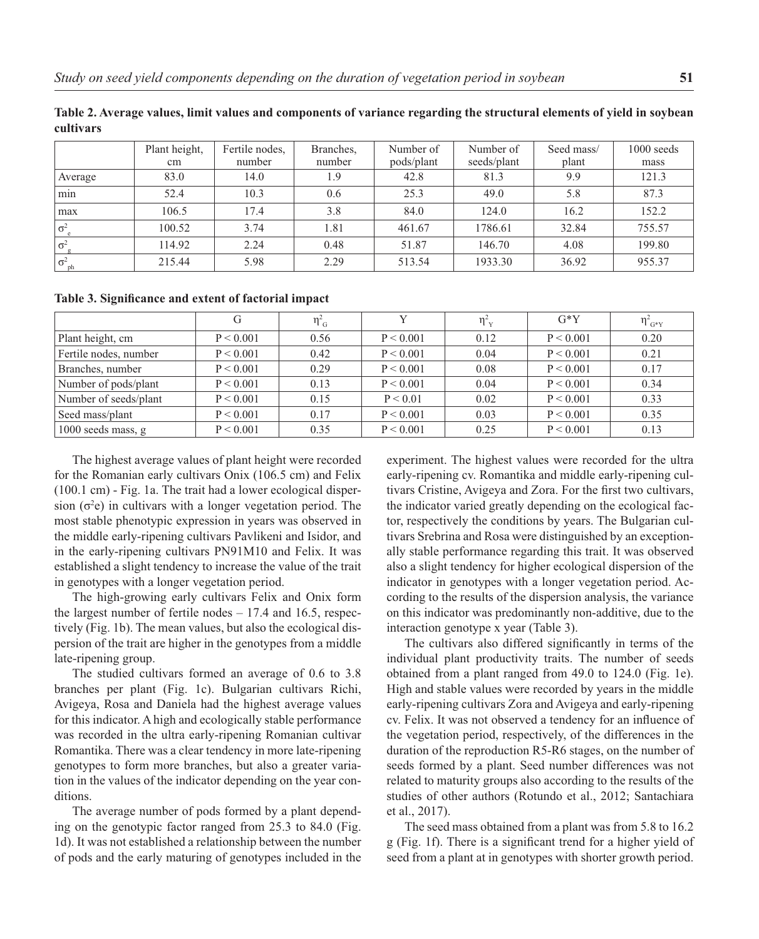|            | Plant height,<br>cm | Fertile nodes,<br>number | Branches,<br>number | Number of<br>pods/plant | Number of<br>seeds/plant | Seed mass/<br>plant | $1000$ seeds<br>mass |
|------------|---------------------|--------------------------|---------------------|-------------------------|--------------------------|---------------------|----------------------|
|            |                     |                          |                     |                         |                          |                     |                      |
| Average    | 83.0                | 14.0                     | 1.9                 | 42.8                    | 81.3                     | 9.9                 | 121.3                |
| min        | 52.4                | 10.3                     | 0.6                 | 25.3                    | 49.0                     | 5.8                 | 87.3                 |
| max        | 106.5               | 17.4                     | 3.8                 | 84.0                    | 124.0                    | 16.2                | 152.2                |
| $\sigma^2$ | 100.52              | 3.74                     | 1.81                | 461.67                  | 1786.61                  | 32.84               | 755.57               |
| $\sigma^2$ | 114.92              | 2.24                     | 0.48                | 51.87                   | 146.70                   | 4.08                | 199.80               |
| $\sigma^2$ | 215.44              | 5.98                     | 2.29                | 513.54                  | 1933.30                  | 36.92               | 955.37               |

**Table 2. Average values, limit values and components of variance regarding the structural elements of yield in soybean cultivars**

Table 3. Significance and extent of factorial impact

|                       | G         | $\eta_{\text{G}}^2$ |           | $\eta_{\nu}^2$ | $G*Y$     | $\eta_{\,G^*Y}^2$ |
|-----------------------|-----------|---------------------|-----------|----------------|-----------|-------------------|
| Plant height, cm      | P < 0.001 | 0.56                | P < 0.001 | 0.12           | P < 0.001 | 0.20              |
| Fertile nodes, number | P < 0.001 | 0.42                | P < 0.001 | 0.04           | P < 0.001 | 0.21              |
| Branches, number      | P < 0.001 | 0.29                | P < 0.001 | 0.08           | P < 0.001 | 0.17              |
| Number of pods/plant  | P < 0.001 | 0.13                | P < 0.001 | 0.04           | P < 0.001 | 0.34              |
| Number of seeds/plant | P < 0.001 | 0.15                | P < 0.01  | 0.02           | P < 0.001 | 0.33              |
| Seed mass/plant       | P < 0.001 | 0.17                | P < 0.001 | 0.03           | P < 0.001 | 0.35              |
| 1000 seeds mass, $g$  | P < 0.001 | 0.35                | P < 0.001 | 0.25           | P < 0.001 | 0.13              |

The highest average values of plant height were recorded for the Romanian early cultivars Onix (106.5 cm) and Felix (100.1 cm) - Fig. 1a. The trait had a lower ecological dispersion  $(\sigma^2 e)$  in cultivars with a longer vegetation period. The most stable phenotypic expression in years was observed in the middle early-ripening cultivars Pavlikeni and Isidor, and in the early-ripening cultivars PN91M10 and Felix. It was established a slight tendency to increase the value of the trait in genotypes with a longer vegetation period.

The high-growing early cultivars Felix and Onix form the largest number of fertile nodes – 17.4 and 16.5, respectively (Fig. 1b). The mean values, but also the ecological dispersion of the trait are higher in the genotypes from a middle late-ripening group.

The studied cultivars formed an average of 0.6 to 3.8 branches per plant (Fig. 1c). Bulgarian cultivars Richi, Avigeya, Rosa and Daniela had the highest average values for this indicator. A high and ecologically stable performance was recorded in the ultra early-ripening Romanian cultivar Romantika. There was a clear tendency in more late-ripening genotypes to form more branches, but also a greater variation in the values of the indicator depending on the year conditions.

The average number of pods formed by a plant depending on the genotypic factor ranged from 25.3 to 84.0 (Fig. 1d). It was not established a relationship between the number of pods and the early maturing of genotypes included in the

experiment. The highest values were recorded for the ultra early-ripening cv. Romantika and middle early-ripening cultivars Cristine, Avigeya and Zora. For the first two cultivars, the indicator varied greatly depending on the ecological factor, respectively the conditions by years. The Bulgarian cultivars Srebrina and Rosa were distinguished by an exceptionally stable performance regarding this trait. It was observed also a slight tendency for higher ecological dispersion of the indicator in genotypes with a longer vegetation period. According to the results of the dispersion analysis, the variance on this indicator was predominantly non-additive, due to the interaction genotype x year (Table 3).

The cultivars also differed significantly in terms of the individual plant productivity traits. The number of seeds obtained from a plant ranged from 49.0 to 124.0 (Fig. 1e). High and stable values were recorded by years in the middle early-ripening cultivars Zora and Avigеya and early-ripening cv. Felix. It was not observed a tendency for an influence of the vegetation period, respectively, of the differences in the duration of the reproduction R5-R6 stages, on the number of seeds formed by a plant. Seed number differences was not related to maturity groups also according to the results of the studies of other authors (Rotundo et al., 2012; Santachiara et al., 2017).

The seed mass obtained from a plant was from 5.8 to 16.2 g (Fig. 1f). There is a significant trend for a higher yield of seed from a plant at in genotypes with shorter growth period.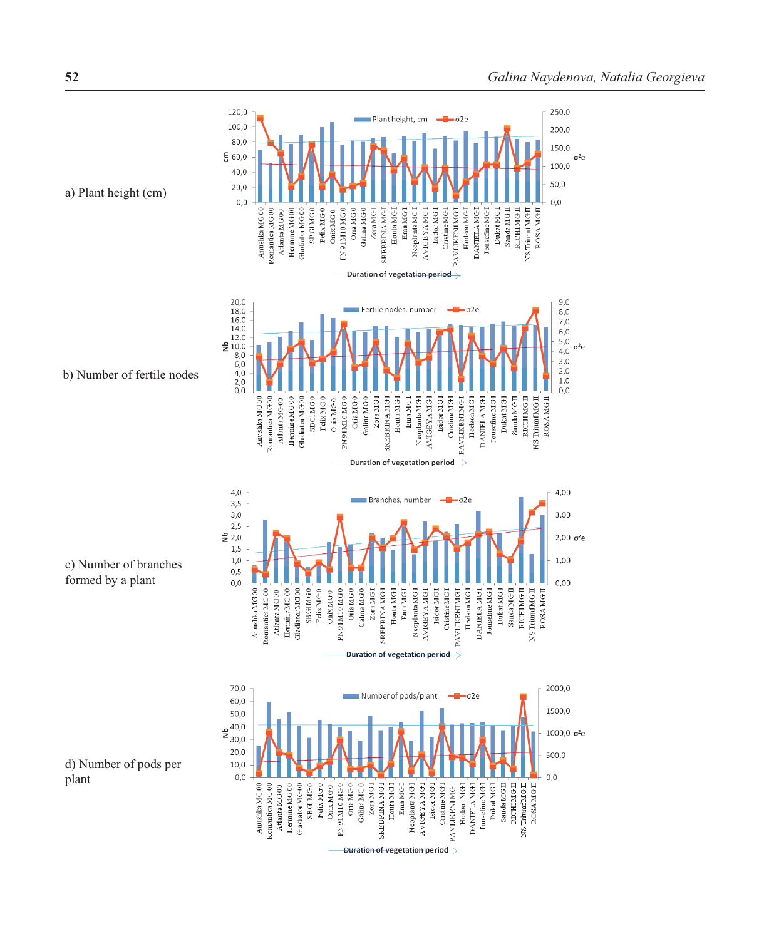

a) Plant height (cm)

c) Number of branches

formed by a plant

d) Number of pods per plant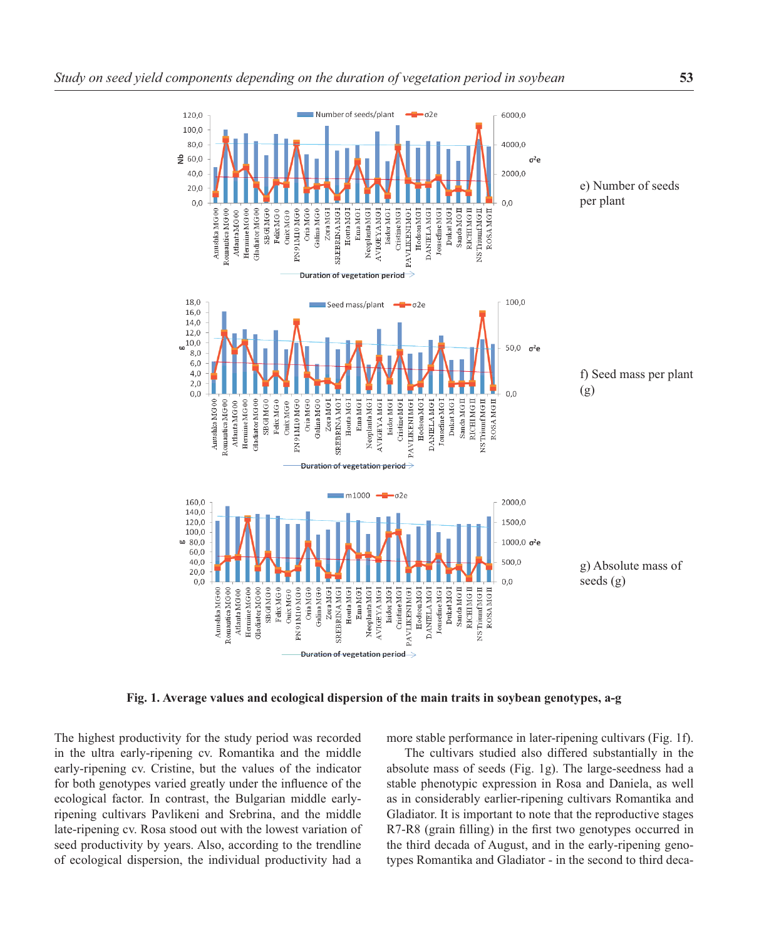

**Fig. 1. Average values and ecological dispersion of the main traits in soybean genotypes, a-g** 

The highest productivity for the study period was recorded in the ultra early-ripening cv. Romantika and the middle early-ripening cv. Cristine, but the values of the indicator for both genotypes varied greatly under the influence of the ecological factor. In contrast, the Bulgarian middle earlyripening cultivars Pavlikeni and Srebrina, and the middle late-ripening cv. Rosa stood out with the lowest variation of seed productivity by years. Also, according to the trendline of ecological dispersion, the individual productivity had a

more stable performance in later-ripening cultivars (Fig. 1f).

The cultivars studied also differed substantially in the absolute mass of seeds (Fig. 1g). The large-seedness had a stable phenotypic expression in Rosa and Daniela, as well as in considerably earlier-ripening cultivars Romantika and Gladiator. It is important to note that the reproductive stages R7-R8 (grain filling) in the first two genotypes occurred in the third decada of August, and in the early-ripening genotypes Romantika and Gladiator - in the second to third deca